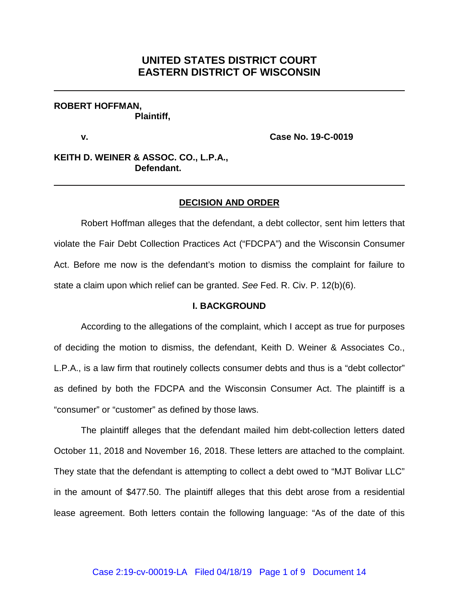# **UNITED STATES DISTRICT COURT EASTERN DISTRICT OF WISCONSIN**

### **ROBERT HOFFMAN, Plaintiff,**

**v. Case No. 19-C-0019**

## **KEITH D. WEINER & ASSOC. CO., L.P.A., Defendant.**

### **DECISION AND ORDER**

Robert Hoffman alleges that the defendant, a debt collector, sent him letters that violate the Fair Debt Collection Practices Act ("FDCPA") and the Wisconsin Consumer Act. Before me now is the defendant's motion to dismiss the complaint for failure to state a claim upon which relief can be granted. *See* Fed. R. Civ. P. 12(b)(6).

#### **I. BACKGROUND**

According to the allegations of the complaint, which I accept as true for purposes of deciding the motion to dismiss, the defendant, Keith D. Weiner & Associates Co., L.P.A., is a law firm that routinely collects consumer debts and thus is a "debt collector" as defined by both the FDCPA and the Wisconsin Consumer Act. The plaintiff is a "consumer" or "customer" as defined by those laws.

The plaintiff alleges that the defendant mailed him debt-collection letters dated October 11, 2018 and November 16, 2018. These letters are attached to the complaint. They state that the defendant is attempting to collect a debt owed to "MJT Bolivar LLC" in the amount of \$477.50. The plaintiff alleges that this debt arose from a residential lease agreement. Both letters contain the following language: "As of the date of this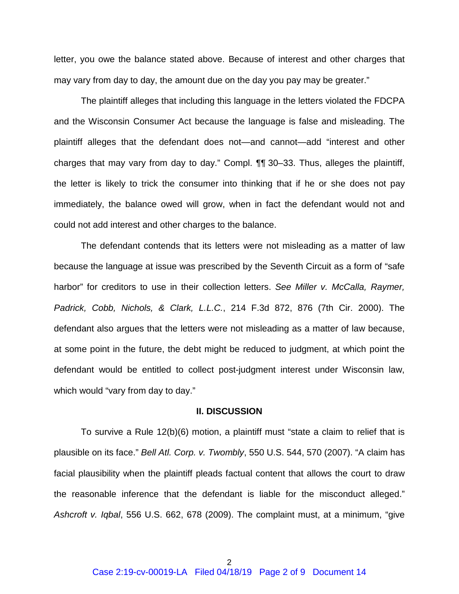letter, you owe the balance stated above. Because of interest and other charges that may vary from day to day, the amount due on the day you pay may be greater."

The plaintiff alleges that including this language in the letters violated the FDCPA and the Wisconsin Consumer Act because the language is false and misleading. The plaintiff alleges that the defendant does not—and cannot—add "interest and other charges that may vary from day to day." Compl. ¶¶ 30–33. Thus, alleges the plaintiff, the letter is likely to trick the consumer into thinking that if he or she does not pay immediately, the balance owed will grow, when in fact the defendant would not and could not add interest and other charges to the balance.

The defendant contends that its letters were not misleading as a matter of law because the language at issue was prescribed by the Seventh Circuit as a form of "safe harbor" for creditors to use in their collection letters. *See Miller v. McCalla, Raymer, Padrick, Cobb, Nichols, & Clark, L.L.C.*, 214 F.3d 872, 876 (7th Cir. 2000). The defendant also argues that the letters were not misleading as a matter of law because, at some point in the future, the debt might be reduced to judgment, at which point the defendant would be entitled to collect post-judgment interest under Wisconsin law, which would "vary from day to day."

#### **II. DISCUSSION**

To survive a Rule 12(b)(6) motion, a plaintiff must "state a claim to relief that is plausible on its face." *Bell Atl. Corp. v. Twombly*, 550 U.S. 544, 570 (2007). "A claim has facial plausibility when the plaintiff pleads factual content that allows the court to draw the reasonable inference that the defendant is liable for the misconduct alleged." *Ashcroft v. Iqbal*, 556 U.S. 662, 678 (2009). The complaint must, at a minimum, "give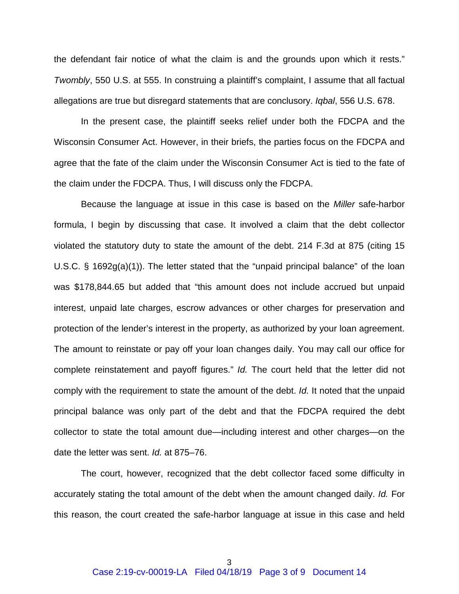the defendant fair notice of what the claim is and the grounds upon which it rests." *Twombly*, 550 U.S. at 555. In construing a plaintiff's complaint, I assume that all factual allegations are true but disregard statements that are conclusory. *Iqbal*, 556 U.S. 678.

In the present case, the plaintiff seeks relief under both the FDCPA and the Wisconsin Consumer Act. However, in their briefs, the parties focus on the FDCPA and agree that the fate of the claim under the Wisconsin Consumer Act is tied to the fate of the claim under the FDCPA. Thus, I will discuss only the FDCPA.

Because the language at issue in this case is based on the *Miller* safe-harbor formula, I begin by discussing that case. It involved a claim that the debt collector violated the statutory duty to state the amount of the debt. 214 F.3d at 875 (citing 15 U.S.C. § 1692g(a)(1)). The letter stated that the "unpaid principal balance" of the loan was \$178,844.65 but added that "this amount does not include accrued but unpaid interest, unpaid late charges, escrow advances or other charges for preservation and protection of the lender's interest in the property, as authorized by your loan agreement. The amount to reinstate or pay off your loan changes daily. You may call our office for complete reinstatement and payoff figures." *Id.* The court held that the letter did not comply with the requirement to state the amount of the debt. *Id.* It noted that the unpaid principal balance was only part of the debt and that the FDCPA required the debt collector to state the total amount due—including interest and other charges—on the date the letter was sent. *Id.* at 875–76.

The court, however, recognized that the debt collector faced some difficulty in accurately stating the total amount of the debt when the amount changed daily. *Id.* For this reason, the court created the safe-harbor language at issue in this case and held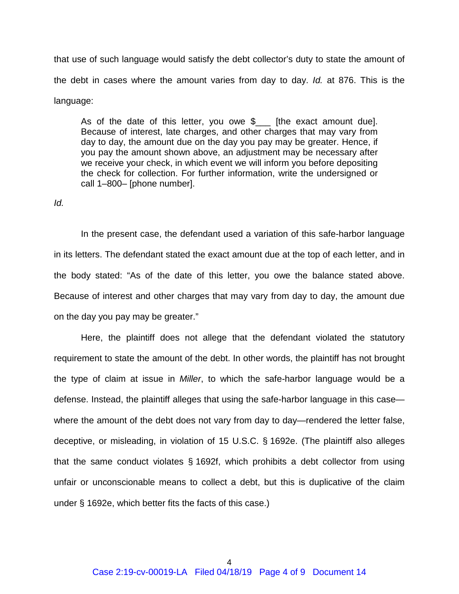that use of such language would satisfy the debt collector's duty to state the amount of the debt in cases where the amount varies from day to day. *Id.* at 876. This is the language:

As of the date of this letter, you owe  $\frac{1}{2}$  [the exact amount due]. Because of interest, late charges, and other charges that may vary from day to day, the amount due on the day you pay may be greater. Hence, if you pay the amount shown above, an adjustment may be necessary after we receive your check, in which event we will inform you before depositing the check for collection. For further information, write the undersigned or call 1–800– [phone number].

### *Id.*

In the present case, the defendant used a variation of this safe-harbor language in its letters. The defendant stated the exact amount due at the top of each letter, and in the body stated: "As of the date of this letter, you owe the balance stated above. Because of interest and other charges that may vary from day to day, the amount due on the day you pay may be greater."

Here, the plaintiff does not allege that the defendant violated the statutory requirement to state the amount of the debt. In other words, the plaintiff has not brought the type of claim at issue in *Miller*, to which the safe-harbor language would be a defense. Instead, the plaintiff alleges that using the safe-harbor language in this case where the amount of the debt does not vary from day to day—rendered the letter false, deceptive, or misleading, in violation of 15 U.S.C. § 1692e. (The plaintiff also alleges that the same conduct violates § 1692f, which prohibits a debt collector from using unfair or unconscionable means to collect a debt, but this is duplicative of the claim under § 1692e, which better fits the facts of this case.)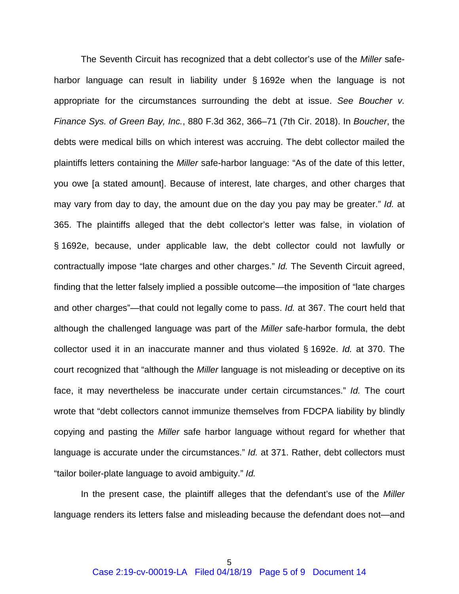The Seventh Circuit has recognized that a debt collector's use of the *Miller* safeharbor language can result in liability under § 1692e when the language is not appropriate for the circumstances surrounding the debt at issue. *See Boucher v. Finance Sys. of Green Bay, Inc.*, 880 F.3d 362, 366–71 (7th Cir. 2018). In *Boucher*, the debts were medical bills on which interest was accruing. The debt collector mailed the plaintiffs letters containing the *Miller* safe-harbor language: "As of the date of this letter, you owe [a stated amount]. Because of interest, late charges, and other charges that may vary from day to day, the amount due on the day you pay may be greater." *Id.* at 365. The plaintiffs alleged that the debt collector's letter was false, in violation of § 1692e, because, under applicable law, the debt collector could not lawfully or contractually impose "late charges and other charges." *Id.* The Seventh Circuit agreed, finding that the letter falsely implied a possible outcome—the imposition of "late charges and other charges"—that could not legally come to pass. *Id.* at 367. The court held that although the challenged language was part of the *Miller* safe-harbor formula, the debt collector used it in an inaccurate manner and thus violated § 1692e. *Id.* at 370. The court recognized that "although the *Miller* language is not misleading or deceptive on its face, it may nevertheless be inaccurate under certain circumstances." *Id.* The court wrote that "debt collectors cannot immunize themselves from FDCPA liability by blindly copying and pasting the *Miller* safe harbor language without regard for whether that language is accurate under the circumstances." *Id.* at 371. Rather, debt collectors must "tailor boiler-plate language to avoid ambiguity." *Id.*

In the present case, the plaintiff alleges that the defendant's use of the *Miller* language renders its letters false and misleading because the defendant does not—and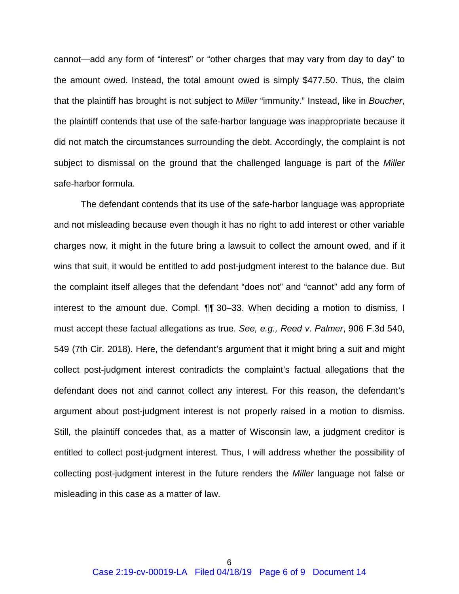cannot—add any form of "interest" or "other charges that may vary from day to day" to the amount owed. Instead, the total amount owed is simply \$477.50. Thus, the claim that the plaintiff has brought is not subject to *Miller* "immunity." Instead, like in *Boucher*, the plaintiff contends that use of the safe-harbor language was inappropriate because it did not match the circumstances surrounding the debt. Accordingly, the complaint is not subject to dismissal on the ground that the challenged language is part of the *Miller*  safe-harbor formula.

The defendant contends that its use of the safe-harbor language was appropriate and not misleading because even though it has no right to add interest or other variable charges now, it might in the future bring a lawsuit to collect the amount owed, and if it wins that suit, it would be entitled to add post-judgment interest to the balance due. But the complaint itself alleges that the defendant "does not" and "cannot" add any form of interest to the amount due. Compl. ¶¶ 30–33. When deciding a motion to dismiss, I must accept these factual allegations as true. *See, e.g., Reed v. Palmer*, 906 F.3d 540, 549 (7th Cir. 2018). Here, the defendant's argument that it might bring a suit and might collect post-judgment interest contradicts the complaint's factual allegations that the defendant does not and cannot collect any interest. For this reason, the defendant's argument about post-judgment interest is not properly raised in a motion to dismiss. Still, the plaintiff concedes that, as a matter of Wisconsin law, a judgment creditor is entitled to collect post-judgment interest. Thus, I will address whether the possibility of collecting post-judgment interest in the future renders the *Miller* language not false or misleading in this case as a matter of law.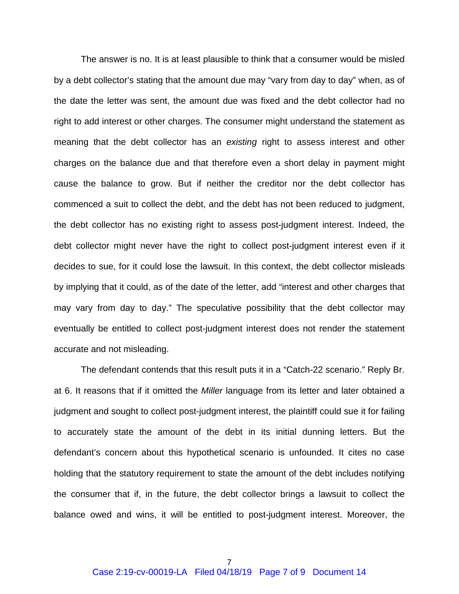The answer is no. It is at least plausible to think that a consumer would be misled by a debt collector's stating that the amount due may "vary from day to day" when, as of the date the letter was sent, the amount due was fixed and the debt collector had no right to add interest or other charges. The consumer might understand the statement as meaning that the debt collector has an *existing* right to assess interest and other charges on the balance due and that therefore even a short delay in payment might cause the balance to grow. But if neither the creditor nor the debt collector has commenced a suit to collect the debt, and the debt has not been reduced to judgment, the debt collector has no existing right to assess post-judgment interest. Indeed, the debt collector might never have the right to collect post-judgment interest even if it decides to sue, for it could lose the lawsuit. In this context, the debt collector misleads by implying that it could, as of the date of the letter, add "interest and other charges that may vary from day to day." The speculative possibility that the debt collector may eventually be entitled to collect post-judgment interest does not render the statement accurate and not misleading.

The defendant contends that this result puts it in a "Catch-22 scenario." Reply Br. at 6. It reasons that if it omitted the *Miller* language from its letter and later obtained a judgment and sought to collect post-judgment interest, the plaintiff could sue it for failing to accurately state the amount of the debt in its initial dunning letters. But the defendant's concern about this hypothetical scenario is unfounded. It cites no case holding that the statutory requirement to state the amount of the debt includes notifying the consumer that if, in the future, the debt collector brings a lawsuit to collect the balance owed and wins, it will be entitled to post-judgment interest. Moreover, the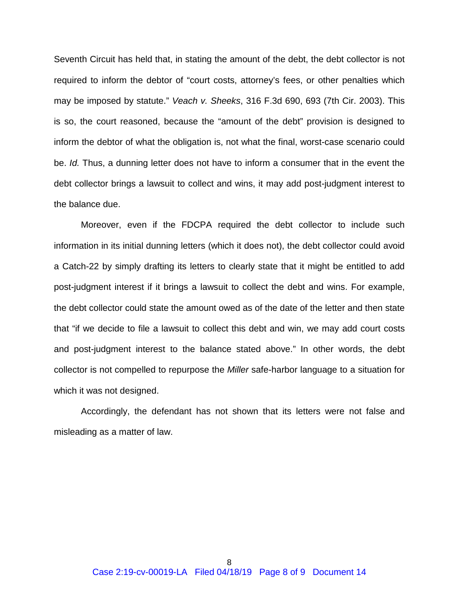Seventh Circuit has held that, in stating the amount of the debt, the debt collector is not required to inform the debtor of "court costs, attorney's fees, or other penalties which may be imposed by statute." *Veach v. Sheeks*, 316 F.3d 690, 693 (7th Cir. 2003). This is so, the court reasoned, because the "amount of the debt" provision is designed to inform the debtor of what the obligation is, not what the final, worst-case scenario could be. *Id.* Thus, a dunning letter does not have to inform a consumer that in the event the debt collector brings a lawsuit to collect and wins, it may add post-judgment interest to the balance due.

Moreover, even if the FDCPA required the debt collector to include such information in its initial dunning letters (which it does not), the debt collector could avoid a Catch-22 by simply drafting its letters to clearly state that it might be entitled to add post-judgment interest if it brings a lawsuit to collect the debt and wins. For example, the debt collector could state the amount owed as of the date of the letter and then state that "if we decide to file a lawsuit to collect this debt and win, we may add court costs and post-judgment interest to the balance stated above." In other words, the debt collector is not compelled to repurpose the *Miller* safe-harbor language to a situation for which it was not designed.

Accordingly, the defendant has not shown that its letters were not false and misleading as a matter of law.